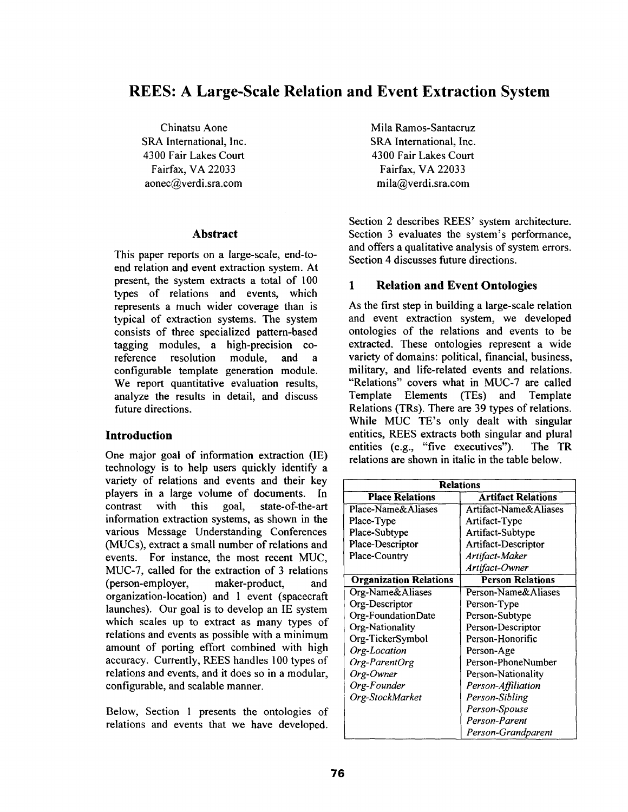# **REES: A Large-Scale Relation and Event Extraction System**

Chinatsu Aone SRA International, Inc. 4300 Fair Lakes Court Fairfax, VA 22033 aonec@verdi.sra.com

#### **Abstract**

This paper reports on a large-scale, end-toend relation and event extraction system. At present, the system extracts a total of 100 types of relations and events, which represents a much wider coverage than is typical of extraction systems. The system consists of three specialized pattem-based tagging modules, a high-precision coreference resolution module, and a configurable template generation module. We report quantitative evaluation results, analyze the results in detail, and discuss future directions.

#### **Introduction**

One major goal of information extraction (IE) technology is to help users quickly identify a variety of relations and events and their key players in a large volume of documents. In contrast with this goal, state-of-the-art information extraction systems, as shown in the various Message Understanding Conferences (MUCs), extract a small number of relations and events. For instance, the most recent MUC, MUC-7, called for the extraction of 3 relations (person-employer, maker-product, and organization-location) and 1 event (spacecraft launches). Our goal is to develop an IE system which scales up to extract as many types of relations and events as possible with a minimum amount of porting effort combined with high accuracy. Currently, REES handles 100 types of relations and events, and it does so in a modular, configurable, and scalable manner.

Below, Section 1 presents the ontologies of relations and events that we have developed. Mila Ramos-Santacruz SRA International, Inc. 4300 Fair Lakes Court Fairfax, VA 22033 mila@verdi.sra.com

Section 2 describes REES' system architecture. Section 3 evaluates the system's performance, and offers a qualitative analysis of system errors. Section 4 discusses future directions.

#### **1 Relation and Event Ontologies**

As the first step in building a large-scale relation and event extraction system, we developed ontologies of the relations and events to be extracted. These ontologies represent a wide variety of domains: political, financial, business, military, and life-related events and relations. "Relations" covers what in MUC-7 are called Template Elements (TEs) and Template Relations (TRs). There are 39 types of relations. While MUC TE's only dealt with singular entities, REES extracts both singular and plural entities (e.g., "five executives"). The TR relations are shown in italic in the table below.

| <b>Relations</b>              |                           |  |  |  |
|-------------------------------|---------------------------|--|--|--|
| <b>Place Relations</b>        | <b>Artifact Relations</b> |  |  |  |
| Place-Name&Aliases            | Artifact-Name&Aliases     |  |  |  |
| Place-Type                    | Artifact-Type             |  |  |  |
| Place-Subtype                 | Artifact-Subtype          |  |  |  |
| Place-Descriptor              | Artifact-Descriptor       |  |  |  |
| Place-Country                 | Artifact-Maker            |  |  |  |
|                               | Artifact-Owner            |  |  |  |
| <b>Organization Relations</b> | <b>Person Relations</b>   |  |  |  |
| Org-Name&Aliases              | Person-Name&Aliases       |  |  |  |
| Org-Descriptor                | Person-Type               |  |  |  |
| Org-FoundationDate            | Person-Subtype            |  |  |  |
| Org-Nationality               | Person-Descriptor         |  |  |  |
| Org-TickerSymbol              | Person-Honorific          |  |  |  |
| Org-Location                  | Person-Age                |  |  |  |
| Org-ParentOrg                 | Person-PhoneNumber        |  |  |  |
| Org-Owner                     | Person-Nationality        |  |  |  |
| Org-Founder                   | Person-Affiliation        |  |  |  |
| Org-StockMarket               | Person-Sibling            |  |  |  |
|                               | Person-Spouse             |  |  |  |
|                               | Person-Parent             |  |  |  |
|                               | Person-Grandparent        |  |  |  |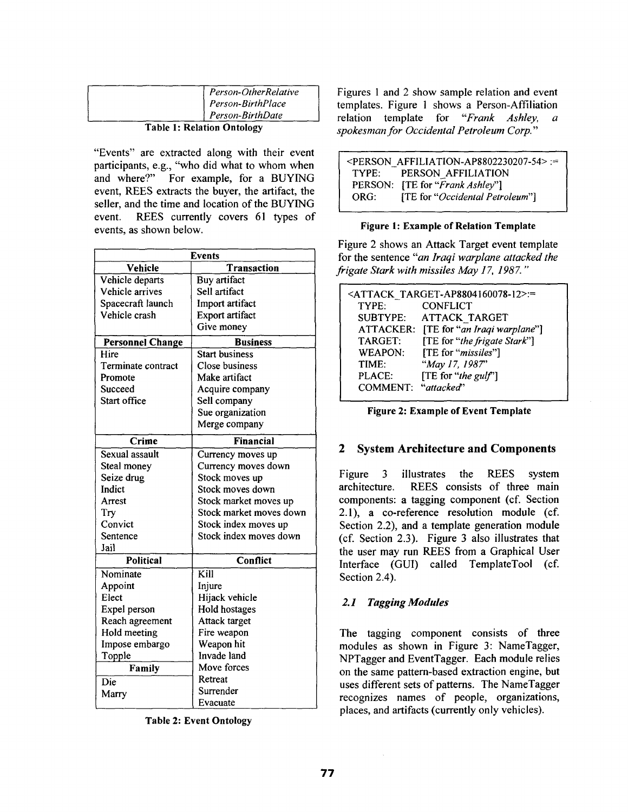| Person-OtherRelative |
|----------------------|
| Person-BirthPlace    |
| Person-BirthDate     |

#### **Table 1: Relation Ontology**

"Events" are extracted along with their event participants, e.g., "who did what to whom when and where?" For example, for a BUYING event, REES extracts the buyer, the artifact, the seller, and the time and location of the BUYING event. REES currently covers 61 types of events, as shown below.

| <b>Events</b>           |                          |  |  |  |
|-------------------------|--------------------------|--|--|--|
| Vehicle                 | Transaction              |  |  |  |
| Vehicle departs         | Buy artifact             |  |  |  |
| Vehicle arrives         | Sell artifact            |  |  |  |
| Spacecraft launch       | Import artifact          |  |  |  |
| Vehicle crash           | Export artifact          |  |  |  |
|                         | Give money               |  |  |  |
| <b>Personnel Change</b> | <b>Business</b>          |  |  |  |
| Hire                    | <b>Start business</b>    |  |  |  |
| Terminate contract      | Close business           |  |  |  |
| Promote                 | Make artifact            |  |  |  |
| Succeed                 | Acquire company          |  |  |  |
| Start office            | Sell company             |  |  |  |
|                         | Sue organization         |  |  |  |
|                         | Merge company            |  |  |  |
| Crime                   | <b>Financial</b>         |  |  |  |
| Sexual assault          | Currency moves up        |  |  |  |
| Steal money             | Currency moves down      |  |  |  |
| Seize drug              | Stock moves up           |  |  |  |
| Indict                  | Stock moves down         |  |  |  |
| Arrest                  | Stock market moves up    |  |  |  |
| Try                     | Stock market moves down  |  |  |  |
| Convict                 | Stock index moves up     |  |  |  |
| Sentence                | Stock index moves down   |  |  |  |
| Jail                    |                          |  |  |  |
| <b>Political</b>        | Conflict                 |  |  |  |
| Nominate                | $\overline{\text{Kill}}$ |  |  |  |
| Appoint                 | Injure                   |  |  |  |
| Elect                   | Hijack vehicle           |  |  |  |
| Expel person            | Hold hostages            |  |  |  |
| Reach agreement         | Attack target            |  |  |  |
| Hold meeting            | Fire weapon              |  |  |  |
| Impose embargo          | Weapon hit               |  |  |  |
| Topple                  | Invade land              |  |  |  |
| Family                  | Move forces              |  |  |  |
| Die                     | Retreat                  |  |  |  |
| Marry                   | Surrender                |  |  |  |
|                         | Evacuate                 |  |  |  |

**Table 2: Event Ontology** 

Figures 1 and 2 show sample relation and event templates. Figure 1 shows a Person-Affiliation relation template for *"Frank Ashley, a spokesman for Occidental Petroleum Corp.'"* 

|      | $\leq$ PERSON AFFILIATION-AP8802230207-54>:= |
|------|----------------------------------------------|
|      | TYPE: PERSON AFFILIATION                     |
|      | PERSON: [TE for "Frank Ashley"]              |
| ORG: | [TE for "Occidental Petroleum"]              |

#### **Figure 1: Example of Relation Template**

Figure 2 shows an Attack Target event template for the sentence *"an Iraqi warplane attacked the frigate Stark with missiles May 17, 1987. "* 

|                     | <attack target-ap8804160078-12="">:=</attack> |
|---------------------|-----------------------------------------------|
| TYPE:               | <b>CONFLICT</b>                               |
| <b>SUBTYPE:</b>     | <b>ATTACK TARGET</b>                          |
|                     | ATTACKER: [TE for "an Iraqi warplane"]        |
| TARGET:             | [TE for "the frigate Stark"]                  |
| <b>WEAPON:</b>      | [TE for "missiles"]                           |
| TIME:               | "May 17, 1987"                                |
| PLACE:              | [TE for "the gulf"]                           |
| COMMENT: "attacked" |                                               |

**Figure 2: Example of Event Template** 

## **2 System Architecture and Components**

Figure 3 illustrates the REES system architecture. REES consists of three main components: a tagging component (cf. Section 2.1), a co-reference resolution module (cf. Section 2.2), and a template generation module (cf. Section 2.3). Figure 3 also illustrates that the user may run REES from a Graphical User Interface (GUI) called TemplateTool (cf. Section 2.4).

### *2.1 Tagging Modules*

The tagging component consists of three modules as shown in Figure 3: NameTagger, NPTagger and EventTagger. Each module relies on the same pattern-based extraction engine, but uses different sets of patterns. The NameTagger recognizes names of people, organizations, places, and artifacts (currently only vehicles).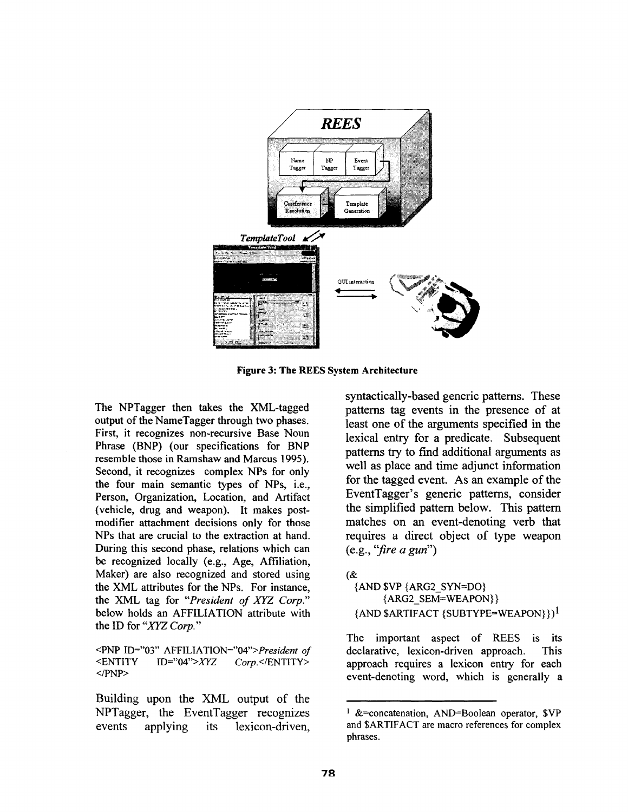

**Figure 3: The REES System Architecture** 

The NPTagger then takes the XML-tagged output of the NameTagger through two phases. First, it recognizes non-recursive Base Noun Phrase (BNP) (our specifications for BNP resemble those in Ramshaw and Marcus 1995). Second, it recognizes complex NPs for only the four main semantic types of NPs, i.e., Person, Organization, Location, and Artifact (vehicle, drug and weapon). It makes postmodifier attachment decisions only for those NPs that are crucial to the extraction at hand. During this second phase, relations which can be recognized locally (e.g., Age, Affiliation, Maker) are also recognized and stored using the XML attributes for the NPs. For instance, the XML tag for *"President of XYZ Corp."*  below holds an AFFILIATION attribute with the ID for "XYZ *Corp."* 

<PNP ID="03" *AFFILIATION="O4">President of*  <ENTITY ID="04">XYZ *Corp.</ENTITY>*   $<$ /PNP>

Building upon the XML output of the NPTagger, the EventTagger recognizes events applying its lexicon-driven,

syntactically-based generic patterns. These patterns tag events in the presence of at least one of the arguments specified in the lexical entry for a predicate. Subsequent pattems try to find additional arguments as well as place and time adjunct information for the tagged event. As an example of the EventTagger's generic patterns, consider the simplified pattern below. This pattem matches on an event-denoting verb that requires a direct object of type weapon (e.g., *"fire a gun")* 

(& {AND \$VP {ARG2\_SYN=DO} {ARG2\_SEM=WEAPON } }  ${AND}$  \$ARTIFACT  ${SUBTYPE=WEAPON}}$ 

The important aspect of REES is its declarative, lexicon-driven approach. This approach requires a lexicon entry for each event-denoting word, which is generally a

 $1 \&=$  concatenation, AND=Boolean operator, \$VP and SARTIFACT are macro references for complex phrases.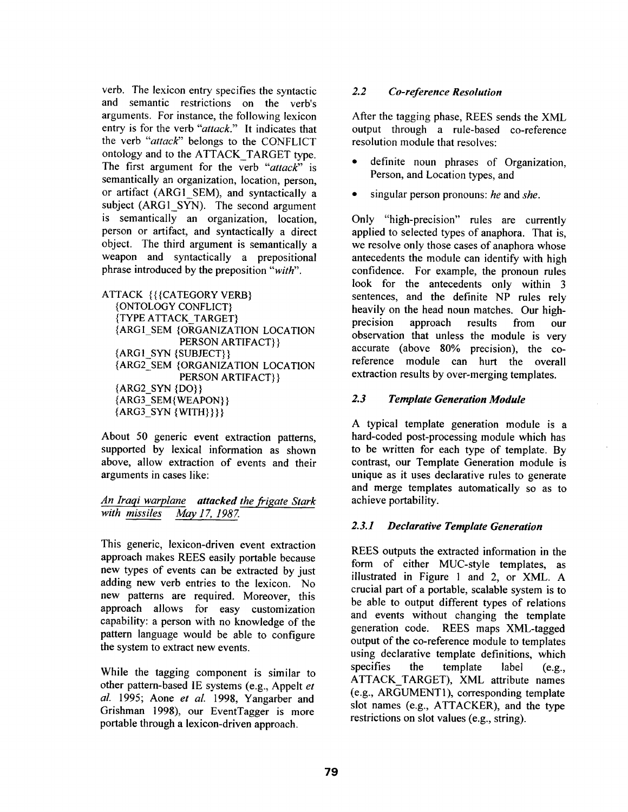verb. The lexicon entry specifies the syntactic and semantic restrictions on the verb's arguments. For instance, the following lexicon entry is for the verb *"attack."* It indicates that the verb *"attack"* belongs to the CONFLICT ontology and to the ATTACK\_TARGET type. The first argument for the verb *"attack"* is semantically an organization, location, person, or artifact (ARGI\_SEM), and syntactically a subject (ARG1 SYN). The second argument is semantically an organization, location, person or artifact, and syntactically a direct object. The third argument is semantically a weapon and syntactically a prepositional phrase introduced by the preposition *"with".* 

```
ATTACK { { { CATEGORY VERB}
{ONTOLOGY CONFLICT} 
{TYPE ATTACK_TARGET} 
{ARGI_SEM {ORGANIZATION LOCATION 
            PERSON ARTIFACT} } 
{ARGI_SYN {SUBJECT} } 
{ARG2_SEM {ORGANIZATION LOCATION 
            PERSON ARTIFACT} } 
{ARG2_SYN {DO} } 
{ARG3_SEM{WEAPON} } 
{ARG3_SYN {WITH} } } }
```
About 50 generic event extraction patterns, supported by lexical information as shown above, allow extraction of events and their arguments in cases like:

### *An lraqi warplane attacked the frigate Stark with missiles May 17, 1987.*

This generic, lexicon-driven event extraction approach makes REES easily portable because new types of events can be extracted by just adding new verb entries to the lexicon. No new patterns are required. Moreover, this approach allows for easy customization capability: a person with no knowledge of the pattern language would be able to configure the system to extract new events.

While the tagging component is similar to other pattern-based IE systems (e.g., Appelt *et al.* 1995; Aone *et al.* 1998, Yangarber and Grishman 1998), our EventTagger is more portable through a lexicon-driven approach.

### *2.2 Co-reference Resolution*

After the tagging phase, REES sends the XML output through a rule-based co-reference resolution module that resolves:

- definite noun phrases of Organization, Person, and Location types, and
- singular person pronouns: *he* and *she.*

Only "high-precision" rules are currently applied to selected types of anaphora. That is, we resolve only those cases of anaphora whose antecedents the module can identify with high confidence. For example, the pronoun rules look for the antecedents only within 3 sentences, and the definite NP rules rely heavily on the head noun matches. Our highprecision approach results from our observation that unless the module is very accurate (above 80% precision), the coreference module can hurt the overall extraction results by over-merging templates.

### *2.3 Template Generation Module*

A typical template generation module is a hard-coded post-processing module which has to be written for each type of template. By contrast, our Template Generation module is unique as it uses declarative rules to generate and merge templates automatically so as to achieve portability.

### *2.3.1 Declarative Template Generation*

REES outputs the extracted information in the form of either MUC-style templates, as illustrated in Figure 1 and 2, or XML. A crucial part of a portable, scalable system is to be able to output different types of relations and events without changing the template generation code. REES maps XML-tagged output of the co-reference module to templates using declarative template definitions, which specifies the template label (e.g., ATTACK\_TARGET), XML attribute names (e.g., ARGUMENT l), corresponding template slot names (e.g., ATTACKER), and the type restrictions on slot values (e.g., string).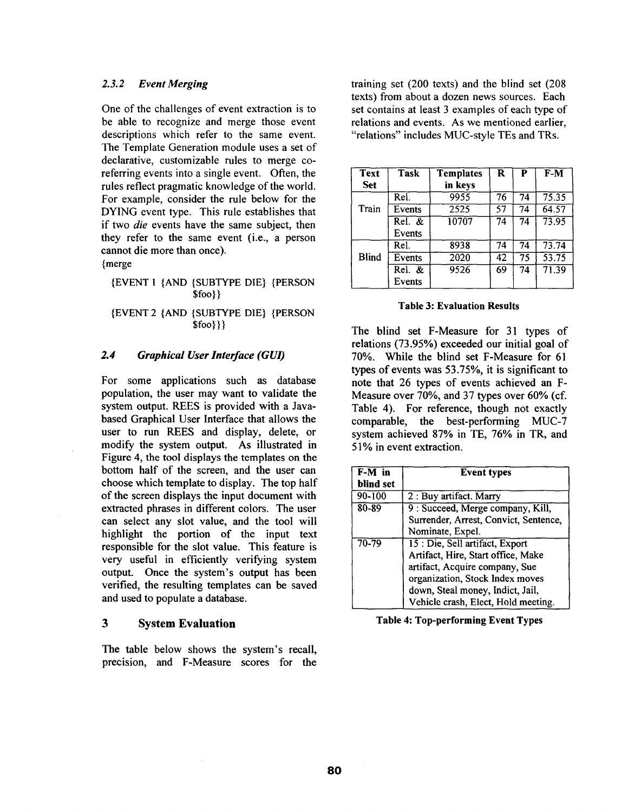#### *2.3.2 Event Merging*

One of the challenges of event extraction is to be able to recognize and merge those event descriptions which refer to the same event. The Template Generation module uses a set of declarative, customizable rules to merge coreferring events into a single event. Often, the rules reflect pragmatic knowledge of the world. For example, consider the rule below for the DYING event type. This rule establishes that if two *die* events have the same subject, then they refer to the same event (i.e., a person cannot die more than once).

{merge

#### {EVENT 1 {AND {SUBTYPE DIE} {PERSON \$foo}}

#### {EVENT 2 {AND {SUBTYPE DIE} {PERSON \$foo}}}

#### *2.4 Graphical User Interface (GUI)*

For some applications such as database population, the user may want to validate the system output. REES is provided with a Javabased Graphical User Interface that allows the user to run REES and display, delete, or modify the system output. As illustrated in Figure 4, the tool displays the templates on the bottom half of the screen, and the user can choose which template to display. The top half of the screen displays the input document with extracted phrases in different colors. The user can select any slot value, and the tool will highlight the portion of the input text responsible for the slot value. This feature is very useful in efficiently verifying system output. Once the system's output has been verified, the resulting templates can be saved and used to populate a database.

#### **3 System Evaluation**

The table below shows the system's recall, precision, and F-Measure scores for the training set (200 texts) and the blind set (208 texts) from about a dozen news sources. Each set contains at least 3 examples of each type of relations and events. As we mentioned earlier, "relations" includes MUC-style TEs and TRs.

| <b>Text</b><br><b>Set</b> | Task              | <b>Templates</b><br>in keys | R  | P  | $F-M$ |
|---------------------------|-------------------|-----------------------------|----|----|-------|
|                           | Rel.              | 9955                        | 76 | 74 | 75.35 |
| Train                     | Events            | $\overline{2525}$           | 57 | 74 | 64.57 |
|                           | ReI. &c<br>Events | 10707                       | 74 | 74 | 73.95 |
|                           | Rel.              | 8938                        | 74 | 74 | 73.74 |
| <b>Blind</b>              | Events            | 2020                        | 42 | 75 | 53.75 |
|                           | Rel. &<br>Events  | 9526                        | 69 | 74 | 71.39 |

#### **Table 3: Evaluation Results**

The blind set F-Measure for 31 types of relations (73.95%) exceeded our initial goal of 70%. While the blind set F-Measure for 61 types of events was 53.75%, it is significant to note that 26 types of events achieved an F-Measure over 70%, and 37 types over 60% (cf. Table 4). For reference, though not exactly comparable, the best-performing MUC-7 system achieved 87% in TE, 76% in TR, and 51% in event extraction.

| F-M in     | <b>Event types</b>                    |  |
|------------|---------------------------------------|--|
| blind set  |                                       |  |
| $90 - 100$ | 2 : Buy artifact. Marry               |  |
| 80-89      | 9 : Succeed, Merge company, Kill,     |  |
|            | Surrender, Arrest, Convict, Sentence, |  |
|            | Nominate, Expel.                      |  |
| $70 - 79$  | 15 : Die, Sell artifact, Export       |  |
|            | Artifact, Hire, Start office, Make    |  |
|            | artifact, Acquire company, Sue        |  |
|            | organization, Stock Index moves       |  |
|            | down, Steal money, Indict, Jail,      |  |
|            | Vehicle crash, Elect, Hold meeting.   |  |

**Table 4: Top-performing Event Types**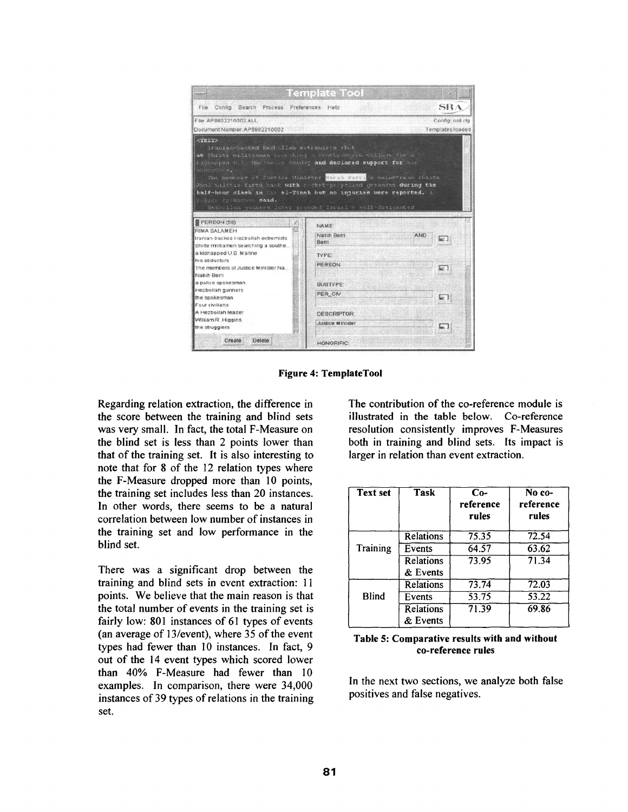|                                                                                                                                                                                                                                                                                                                                                                                                                                | <b>Template Tool</b>          |                  |
|--------------------------------------------------------------------------------------------------------------------------------------------------------------------------------------------------------------------------------------------------------------------------------------------------------------------------------------------------------------------------------------------------------------------------------|-------------------------------|------------------|
| Search Process Preferences Help<br>File<br>Config                                                                                                                                                                                                                                                                                                                                                                              |                               | <b>SRA</b>       |
| File: AP8802710002 ALL                                                                                                                                                                                                                                                                                                                                                                                                         |                               | Config: ord.cfg  |
| Document Number, AP8802210002                                                                                                                                                                                                                                                                                                                                                                                                  |                               | Templates loaded |
| Iraufan-backed Hezbyllah astrandros shot<br>at Shiite pilitiaman saur hind a southanousen village for a<br>Indianument U. 3. Marthews Sunday and declared support for the<br>sisduction.<br>The members of Sustice Minister Wabin Berti a mainstream Shiite<br>Anni malitas firsd back with cocket-propelled grenades during the<br>half-hour clash in the el-Tineh but no injuries were reported, a<br>polson reskammen said. |                               |                  |
| Hemixolian gunners later pounded Israel's saif-designated                                                                                                                                                                                                                                                                                                                                                                      |                               |                  |
|                                                                                                                                                                                                                                                                                                                                                                                                                                | NAME:<br>Nabih Berri<br>Berri | <b>AND</b>       |
|                                                                                                                                                                                                                                                                                                                                                                                                                                | <b>TYPE:</b>                  |                  |
|                                                                                                                                                                                                                                                                                                                                                                                                                                | PERSON                        | e.               |
|                                                                                                                                                                                                                                                                                                                                                                                                                                | <b><i>SUBTYPE</i></b>         |                  |
|                                                                                                                                                                                                                                                                                                                                                                                                                                | PER CIV                       |                  |
|                                                                                                                                                                                                                                                                                                                                                                                                                                | <b>DESCRIPTOR:</b>            |                  |
| PERSON (56)<br>RIMA SALAMEH<br>Iranian-backed Hezbollah extremists<br>Shilte militiamen searching a southe<br>a kidnapped U.S. Marine<br>his abductors<br>The members of Justice Minister Na<br>Nabih Berri<br>a police spokesman<br>Hezbollah gunners<br>the spokesman<br>Four civilians<br>A Hezbollah leader<br>William R. Higgins<br>the strugglers                                                                        | Justice Minister              |                  |

**Figure 4: TemplateTool** 

Regarding relation extraction, the difference in the score between the training and blind sets was very small. In fact, the total F-Measure on the blind set is less than 2 points lower than that of the training set. It is also interesting to note that for 8 of the 12 relation types where the F-Measure dropped more than 10 points, the training set includes less than 20 instances. In other words, there seems to be a natural correlation between low number of instances in the training set and low performance in the blind set.

There was a significant drop between the training and blind sets in event extraction: 11 points. We believe that the main reason is that the total number of events in the training set is fairly low: 801 instances of 61 types of events (an average of 13/event), where 35 of the event types had fewer than 10 instances. In fact, 9 out of the 14 event types which scored lower than 40% F-Measure had fewer than I0 examples. In comparison, there were 34,000 instances of 39 types of relations in the training set.

The contribution of the co-reference module is illustrated in the table below. Co-reference resolution consistently improves F-Measures both in training and blind sets. Its impact is larger in relation than event extraction.

| <b>Text set</b> | <b>Task</b>           | $Co-$<br>reference<br>rules | No co-<br>reference<br>rules |
|-----------------|-----------------------|-----------------------------|------------------------------|
|                 | Relations             | 75.35                       | 72.54                        |
| Training        | Events                | 64.57                       | 63.62                        |
|                 | Relations<br>& Events | 73.95                       | 71.34                        |
|                 | <b>Relations</b>      | 73.74                       | 72.03                        |
| <b>Blind</b>    | Events                | 53.75                       | 53.22                        |
|                 | Relations<br>& Events | 71.39                       | 69.86                        |

**Table 5: Comparative results with and without co-reference rules** 

In the next two sections, we analyze both false positives and false negatives.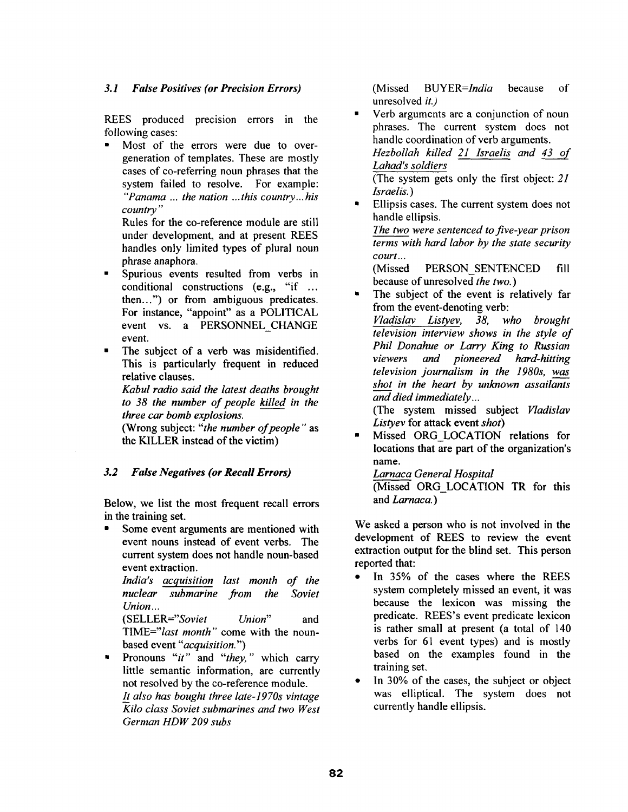#### *3.1 False Positives (or Precision Errors)*

REES produced precision errors in the following cases:

• Most of the errors were due to overgeneration of templates. These are mostly cases of co-referring noun phrases that the system failed to resolve. For example: *"Panama ... the nation ... this country.., his country"* 

Rules for the co-reference module are still under development, and at present REES handles only limited types of plural noun phrase anaphora.

 $\blacksquare$ Spurious events resulted from verbs in conditional constructions (e.g., "if ... then...") or from ambiguous predicates. For instance, "appoint" as a POLITICAL event vs. a PERSONNEL CHANGE event.

The subject of a verb was misidentified. This is particularly frequent in reduced relative clauses.

*Kabul radio said the latest deaths brought to 38 the number of people killed in the three car bomb explosions,* 

(Wrong subject: *"the number of people"* as the KILLER instead of the victim)

### *3.2 False Negatives (or Recall Errors)*

Below, we list the most frequent recall errors in the training set.

Some event arguments are mentioned with event nouns instead of event verbs. The current system does not handle noun-based event extraction.

*India's acquisition last month of the nuclear submarine from the Soviet Union...* 

*(SELLER="Soviet Union"* and *TIME="last month'"* come with the nounbased event *"acquisition.")* 

• Pronouns *"it"* and *"they,"* which carry little semantic information, are currently not resolved by the co-reference module. *It also has bought three late-1970s vintage ICilo class Soviet submarines and two West German HDW 209 subs* 

(Missed *BUYER=India* because of unresolved *it.)* 

• Verb arguments are a conjunction of noun phrases. The current system does not handle coordination of verb arguments. *Hezbollah killed 21 lsraelis and 43 of* 

*Lahad's soldiers* 

(The system gets only the first object: *21 Israelis. )* 

• Ellipsis cases. The current system does not handle ellipsis. *The two were sentenced to five-year prison terms with hard labor by the state security* 

*court...*  (Missed PERSON\_SENTENCED fill because of unresolved *the two.)* 

The subject of the event is relatively far from the event-denoting verb:

*Vladislav Listyev, 38, who brought television interview shows in the style of Phil Donahue or Larry King to Russian viewers and pioneered hard-hitting television journalism in the 1980s, was shot in the heart by unknown assailants and died immediately...* 

(The system missed subject *Vladislav Listyev* for attack event *shot)* 

Missed ORG LOCATION relations for locations that are part of the organization's name.

*Larnaca General Hospital*  (Missed ORG\_LOCATION TR for this and *Larnaca. )* 

We asked a person who is not involved in the development of REES to review the event extraction output for the blind set. This person reported that:

- In 35% of the cases where the REES system completely missed an event, it was because the lexicon was missing the predicate. REES's event predicate lexicon is rather small at present (a total of 140 verbs for 61 event types) and is mostly based on the examples found in the training set,
- In 30% of the cases, the subject or object was elliptical. The system does not currently handle ellipsis.